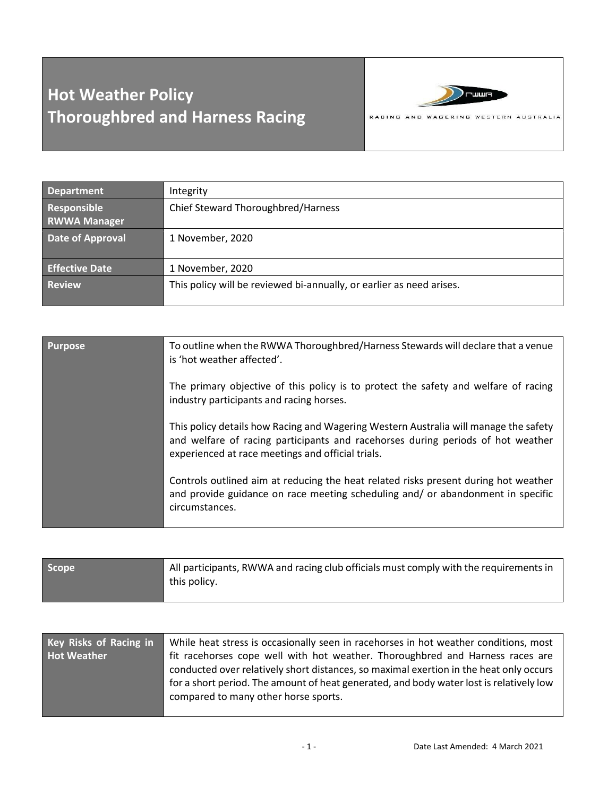## **Hot Weather Policy Thoroughbred and Harness Racing**



| <b>Department</b>                  | Integrity                                                            |
|------------------------------------|----------------------------------------------------------------------|
| Responsible<br><b>RWWA Manager</b> | Chief Steward Thoroughbred/Harness                                   |
| <b>Date of Approval</b>            | 1 November, 2020                                                     |
| <b>Effective Date</b>              | 1 November, 2020                                                     |
| <b>Review</b>                      | This policy will be reviewed bi-annually, or earlier as need arises. |

| <b>Purpose</b> | To outline when the RWWA Thoroughbred/Harness Stewards will declare that a venue<br>is 'hot weather affected'.                                                                                                               |
|----------------|------------------------------------------------------------------------------------------------------------------------------------------------------------------------------------------------------------------------------|
|                | The primary objective of this policy is to protect the safety and welfare of racing<br>industry participants and racing horses.                                                                                              |
|                | This policy details how Racing and Wagering Western Australia will manage the safety<br>and welfare of racing participants and racehorses during periods of hot weather<br>experienced at race meetings and official trials. |
|                | Controls outlined aim at reducing the heat related risks present during hot weather<br>and provide guidance on race meeting scheduling and/ or abandonment in specific<br>circumstances.                                     |

| <b>Scope</b> | All participants, RWWA and racing club officials must comply with the requirements in |
|--------------|---------------------------------------------------------------------------------------|
|              | this policy.                                                                          |
|              |                                                                                       |

| <b>Key Risks of Racing in</b> | While heat stress is occasionally seen in racehorses in hot weather conditions, most                                                                                    |
|-------------------------------|-------------------------------------------------------------------------------------------------------------------------------------------------------------------------|
| <b>Hot Weather</b>            | fit racehorses cope well with hot weather. Thoroughbred and Harness races are<br>conducted over relatively short distances, so maximal exertion in the heat only occurs |
|                               | for a short period. The amount of heat generated, and body water lost is relatively low                                                                                 |
|                               | compared to many other horse sports.                                                                                                                                    |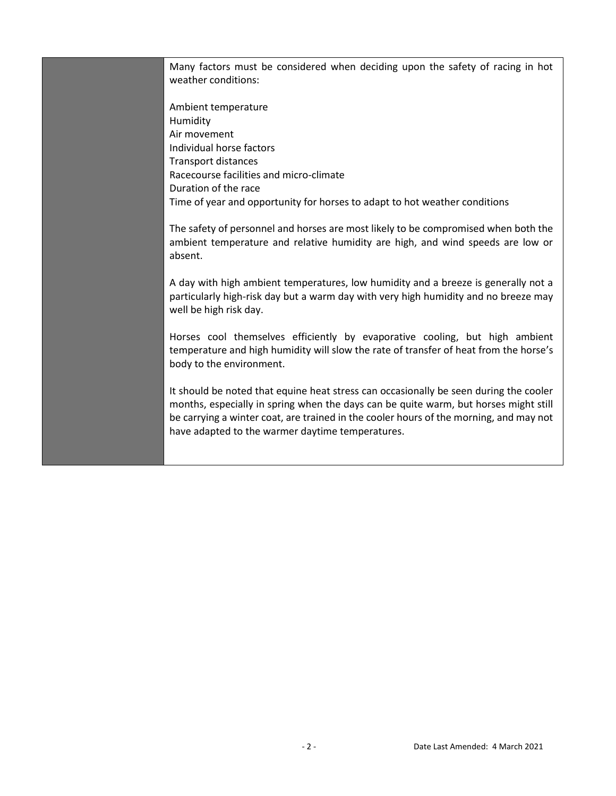Many factors must be considered when deciding upon the safety of racing in hot weather conditions:

Ambient temperature Humidity Air movement Individual horse factors Transport distances Racecourse facilities and micro-climate Duration of the race Time of year and opportunity for horses to adapt to hot weather conditions

The safety of personnel and horses are most likely to be compromised when both the ambient temperature and relative humidity are high, and wind speeds are low or absent.

A day with high ambient temperatures, low humidity and a breeze is generally not a particularly high-risk day but a warm day with very high humidity and no breeze may well be high risk day.

Horses cool themselves efficiently by evaporative cooling, but high ambient temperature and high humidity will slow the rate of transfer of heat from the horse's body to the environment.

It should be noted that equine heat stress can occasionally be seen during the cooler months, especially in spring when the days can be quite warm, but horses might still be carrying a winter coat, are trained in the cooler hours of the morning, and may not have adapted to the warmer daytime temperatures.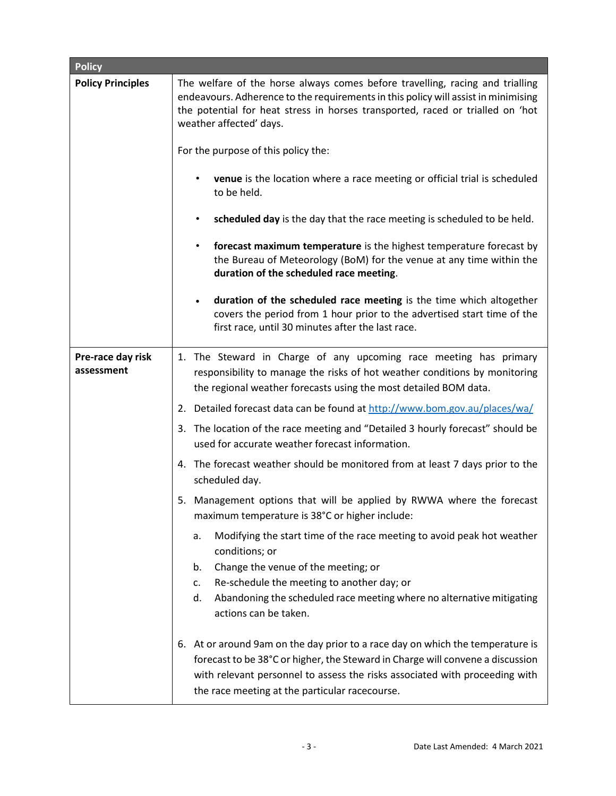| <b>Policy</b>                   |                                                                                                                                                                                                                                                                                                   |
|---------------------------------|---------------------------------------------------------------------------------------------------------------------------------------------------------------------------------------------------------------------------------------------------------------------------------------------------|
| <b>Policy Principles</b>        | The welfare of the horse always comes before travelling, racing and trialling<br>endeavours. Adherence to the requirements in this policy will assist in minimising<br>the potential for heat stress in horses transported, raced or trialled on 'hot<br>weather affected' days.                  |
|                                 | For the purpose of this policy the:                                                                                                                                                                                                                                                               |
|                                 | venue is the location where a race meeting or official trial is scheduled<br>to be held.                                                                                                                                                                                                          |
|                                 | scheduled day is the day that the race meeting is scheduled to be held.<br>$\bullet$                                                                                                                                                                                                              |
|                                 | forecast maximum temperature is the highest temperature forecast by<br>$\bullet$<br>the Bureau of Meteorology (BoM) for the venue at any time within the<br>duration of the scheduled race meeting.                                                                                               |
|                                 | duration of the scheduled race meeting is the time which altogether<br>$\bullet$<br>covers the period from 1 hour prior to the advertised start time of the<br>first race, until 30 minutes after the last race.                                                                                  |
| Pre-race day risk<br>assessment | 1. The Steward in Charge of any upcoming race meeting has primary<br>responsibility to manage the risks of hot weather conditions by monitoring<br>the regional weather forecasts using the most detailed BOM data.                                                                               |
|                                 | 2. Detailed forecast data can be found at http://www.bom.gov.au/places/wa/                                                                                                                                                                                                                        |
|                                 | 3. The location of the race meeting and "Detailed 3 hourly forecast" should be<br>used for accurate weather forecast information.                                                                                                                                                                 |
|                                 | 4. The forecast weather should be monitored from at least 7 days prior to the<br>scheduled day.                                                                                                                                                                                                   |
|                                 | 5. Management options that will be applied by RWWA where the forecast<br>maximum temperature is 38°C or higher include:                                                                                                                                                                           |
|                                 | Modifying the start time of the race meeting to avoid peak hot weather<br>а.<br>conditions; or                                                                                                                                                                                                    |
|                                 | Change the venue of the meeting; or<br>b.                                                                                                                                                                                                                                                         |
|                                 | Re-schedule the meeting to another day; or<br>c.<br>d.<br>Abandoning the scheduled race meeting where no alternative mitigating<br>actions can be taken.                                                                                                                                          |
|                                 | 6. At or around 9am on the day prior to a race day on which the temperature is<br>forecast to be 38°C or higher, the Steward in Charge will convene a discussion<br>with relevant personnel to assess the risks associated with proceeding with<br>the race meeting at the particular racecourse. |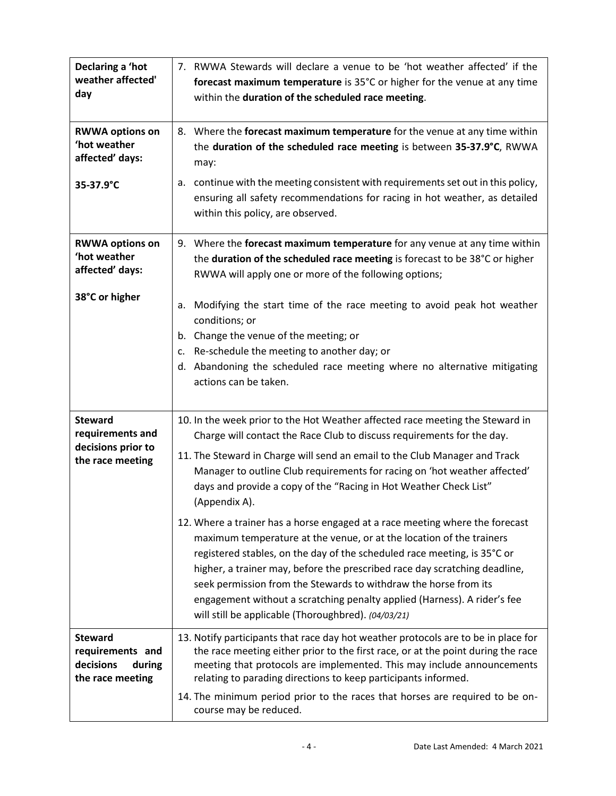| Declaring a 'hot<br>weather affected'<br>day                                  | 7. RWWA Stewards will declare a venue to be 'hot weather affected' if the<br>forecast maximum temperature is 35°C or higher for the venue at any time<br>within the duration of the scheduled race meeting.                                                                                                                                                                                                                                                                                                                                                                                                                                                                                                                                                                                                                                                                                                                       |
|-------------------------------------------------------------------------------|-----------------------------------------------------------------------------------------------------------------------------------------------------------------------------------------------------------------------------------------------------------------------------------------------------------------------------------------------------------------------------------------------------------------------------------------------------------------------------------------------------------------------------------------------------------------------------------------------------------------------------------------------------------------------------------------------------------------------------------------------------------------------------------------------------------------------------------------------------------------------------------------------------------------------------------|
| <b>RWWA options on</b><br>'hot weather<br>affected' days:                     | 8. Where the forecast maximum temperature for the venue at any time within<br>the duration of the scheduled race meeting is between 35-37.9°C, RWWA<br>may:                                                                                                                                                                                                                                                                                                                                                                                                                                                                                                                                                                                                                                                                                                                                                                       |
| 35-37.9°C                                                                     | a. continue with the meeting consistent with requirements set out in this policy,<br>ensuring all safety recommendations for racing in hot weather, as detailed<br>within this policy, are observed.                                                                                                                                                                                                                                                                                                                                                                                                                                                                                                                                                                                                                                                                                                                              |
| <b>RWWA options on</b><br>'hot weather<br>affected' days:                     | 9. Where the forecast maximum temperature for any venue at any time within<br>the duration of the scheduled race meeting is forecast to be 38°C or higher<br>RWWA will apply one or more of the following options;                                                                                                                                                                                                                                                                                                                                                                                                                                                                                                                                                                                                                                                                                                                |
| 38°C or higher                                                                | Modifying the start time of the race meeting to avoid peak hot weather<br>а.<br>conditions; or<br>b. Change the venue of the meeting; or<br>Re-schedule the meeting to another day; or<br>c.<br>d. Abandoning the scheduled race meeting where no alternative mitigating<br>actions can be taken.                                                                                                                                                                                                                                                                                                                                                                                                                                                                                                                                                                                                                                 |
| <b>Steward</b><br>requirements and<br>decisions prior to<br>the race meeting  | 10. In the week prior to the Hot Weather affected race meeting the Steward in<br>Charge will contact the Race Club to discuss requirements for the day.<br>11. The Steward in Charge will send an email to the Club Manager and Track<br>Manager to outline Club requirements for racing on 'hot weather affected'<br>days and provide a copy of the "Racing in Hot Weather Check List"<br>(Appendix A).<br>12. Where a trainer has a horse engaged at a race meeting where the forecast<br>maximum temperature at the venue, or at the location of the trainers<br>registered stables, on the day of the scheduled race meeting, is 35°C or<br>higher, a trainer may, before the prescribed race day scratching deadline,<br>seek permission from the Stewards to withdraw the horse from its<br>engagement without a scratching penalty applied (Harness). A rider's fee<br>will still be applicable (Thoroughbred). (04/03/21) |
| <b>Steward</b><br>requirements and<br>decisions<br>during<br>the race meeting | 13. Notify participants that race day hot weather protocols are to be in place for<br>the race meeting either prior to the first race, or at the point during the race<br>meeting that protocols are implemented. This may include announcements<br>relating to parading directions to keep participants informed.<br>14. The minimum period prior to the races that horses are required to be on-<br>course may be reduced.                                                                                                                                                                                                                                                                                                                                                                                                                                                                                                      |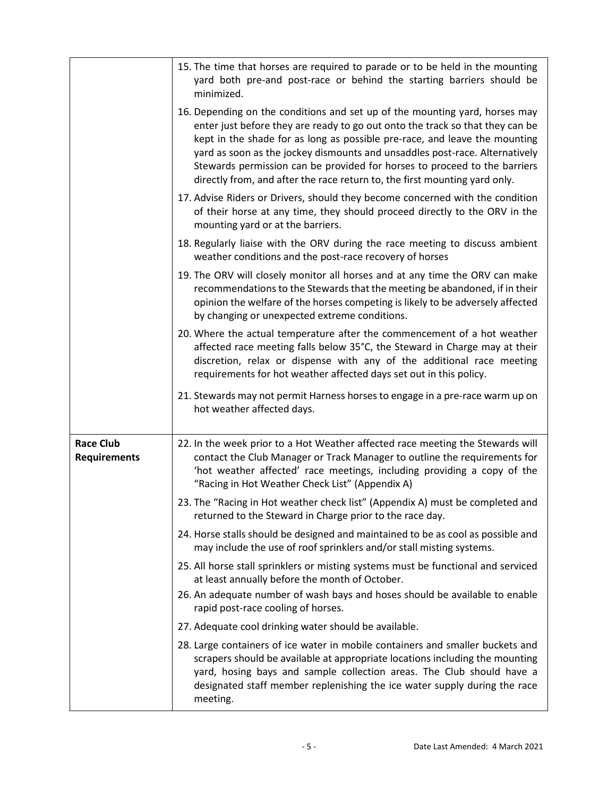|                                         | 15. The time that horses are required to parade or to be held in the mounting<br>yard both pre-and post-race or behind the starting barriers should be<br>minimized.                                                                                                                                                                                                                                                                                                                 |
|-----------------------------------------|--------------------------------------------------------------------------------------------------------------------------------------------------------------------------------------------------------------------------------------------------------------------------------------------------------------------------------------------------------------------------------------------------------------------------------------------------------------------------------------|
|                                         | 16. Depending on the conditions and set up of the mounting yard, horses may<br>enter just before they are ready to go out onto the track so that they can be<br>kept in the shade for as long as possible pre-race, and leave the mounting<br>yard as soon as the jockey dismounts and unsaddles post-race. Alternatively<br>Stewards permission can be provided for horses to proceed to the barriers<br>directly from, and after the race return to, the first mounting yard only. |
|                                         | 17. Advise Riders or Drivers, should they become concerned with the condition<br>of their horse at any time, they should proceed directly to the ORV in the<br>mounting yard or at the barriers.                                                                                                                                                                                                                                                                                     |
|                                         | 18. Regularly liaise with the ORV during the race meeting to discuss ambient<br>weather conditions and the post-race recovery of horses                                                                                                                                                                                                                                                                                                                                              |
|                                         | 19. The ORV will closely monitor all horses and at any time the ORV can make<br>recommendations to the Stewards that the meeting be abandoned, if in their<br>opinion the welfare of the horses competing is likely to be adversely affected<br>by changing or unexpected extreme conditions.                                                                                                                                                                                        |
|                                         | 20. Where the actual temperature after the commencement of a hot weather<br>affected race meeting falls below 35°C, the Steward in Charge may at their<br>discretion, relax or dispense with any of the additional race meeting<br>requirements for hot weather affected days set out in this policy.                                                                                                                                                                                |
|                                         | 21. Stewards may not permit Harness horses to engage in a pre-race warm up on<br>hot weather affected days.                                                                                                                                                                                                                                                                                                                                                                          |
| <b>Race Club</b><br><b>Requirements</b> | 22. In the week prior to a Hot Weather affected race meeting the Stewards will<br>contact the Club Manager or Track Manager to outline the requirements for<br>'hot weather affected' race meetings, including providing a copy of the<br>"Racing in Hot Weather Check List" (Appendix A)                                                                                                                                                                                            |
|                                         | 23. The "Racing in Hot weather check list" (Appendix A) must be completed and<br>returned to the Steward in Charge prior to the race day.                                                                                                                                                                                                                                                                                                                                            |
|                                         | 24. Horse stalls should be designed and maintained to be as cool as possible and<br>may include the use of roof sprinklers and/or stall misting systems.                                                                                                                                                                                                                                                                                                                             |
|                                         | 25. All horse stall sprinklers or misting systems must be functional and serviced<br>at least annually before the month of October.<br>26. An adequate number of wash bays and hoses should be available to enable<br>rapid post-race cooling of horses.                                                                                                                                                                                                                             |
|                                         | 27. Adequate cool drinking water should be available.                                                                                                                                                                                                                                                                                                                                                                                                                                |
|                                         | 28. Large containers of ice water in mobile containers and smaller buckets and<br>scrapers should be available at appropriate locations including the mounting<br>yard, hosing bays and sample collection areas. The Club should have a<br>designated staff member replenishing the ice water supply during the race<br>meeting.                                                                                                                                                     |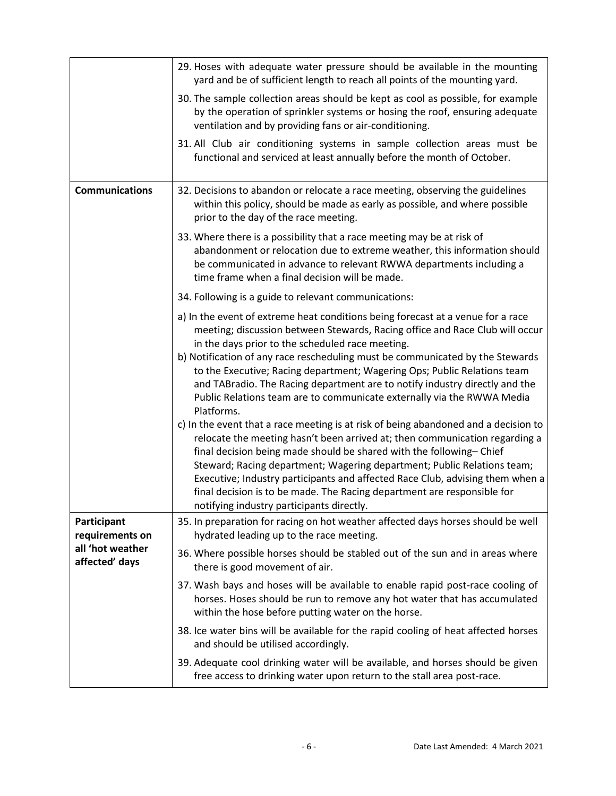|                                    | 29. Hoses with adequate water pressure should be available in the mounting<br>yard and be of sufficient length to reach all points of the mounting yard.                                                                                                                                                                                                                                                                                                                                                                                                                                                                                                                                                                                                                                                                                                                                                                                                                                                                                    |
|------------------------------------|---------------------------------------------------------------------------------------------------------------------------------------------------------------------------------------------------------------------------------------------------------------------------------------------------------------------------------------------------------------------------------------------------------------------------------------------------------------------------------------------------------------------------------------------------------------------------------------------------------------------------------------------------------------------------------------------------------------------------------------------------------------------------------------------------------------------------------------------------------------------------------------------------------------------------------------------------------------------------------------------------------------------------------------------|
|                                    | 30. The sample collection areas should be kept as cool as possible, for example<br>by the operation of sprinkler systems or hosing the roof, ensuring adequate<br>ventilation and by providing fans or air-conditioning.                                                                                                                                                                                                                                                                                                                                                                                                                                                                                                                                                                                                                                                                                                                                                                                                                    |
|                                    | 31. All Club air conditioning systems in sample collection areas must be<br>functional and serviced at least annually before the month of October.                                                                                                                                                                                                                                                                                                                                                                                                                                                                                                                                                                                                                                                                                                                                                                                                                                                                                          |
| <b>Communications</b>              | 32. Decisions to abandon or relocate a race meeting, observing the guidelines<br>within this policy, should be made as early as possible, and where possible<br>prior to the day of the race meeting.                                                                                                                                                                                                                                                                                                                                                                                                                                                                                                                                                                                                                                                                                                                                                                                                                                       |
|                                    | 33. Where there is a possibility that a race meeting may be at risk of<br>abandonment or relocation due to extreme weather, this information should<br>be communicated in advance to relevant RWWA departments including a<br>time frame when a final decision will be made.                                                                                                                                                                                                                                                                                                                                                                                                                                                                                                                                                                                                                                                                                                                                                                |
|                                    | 34. Following is a guide to relevant communications:                                                                                                                                                                                                                                                                                                                                                                                                                                                                                                                                                                                                                                                                                                                                                                                                                                                                                                                                                                                        |
|                                    | a) In the event of extreme heat conditions being forecast at a venue for a race<br>meeting; discussion between Stewards, Racing office and Race Club will occur<br>in the days prior to the scheduled race meeting.<br>b) Notification of any race rescheduling must be communicated by the Stewards<br>to the Executive; Racing department; Wagering Ops; Public Relations team<br>and TABradio. The Racing department are to notify industry directly and the<br>Public Relations team are to communicate externally via the RWWA Media<br>Platforms.<br>c) In the event that a race meeting is at risk of being abandoned and a decision to<br>relocate the meeting hasn't been arrived at; then communication regarding a<br>final decision being made should be shared with the following-Chief<br>Steward; Racing department; Wagering department; Public Relations team;<br>Executive; Industry participants and affected Race Club, advising them when a<br>final decision is to be made. The Racing department are responsible for |
| Participant                        | notifying industry participants directly.<br>35. In preparation for racing on hot weather affected days horses should be well                                                                                                                                                                                                                                                                                                                                                                                                                                                                                                                                                                                                                                                                                                                                                                                                                                                                                                               |
| requirements on                    | hydrated leading up to the race meeting.                                                                                                                                                                                                                                                                                                                                                                                                                                                                                                                                                                                                                                                                                                                                                                                                                                                                                                                                                                                                    |
| all 'hot weather<br>affected' days | 36. Where possible horses should be stabled out of the sun and in areas where<br>there is good movement of air.                                                                                                                                                                                                                                                                                                                                                                                                                                                                                                                                                                                                                                                                                                                                                                                                                                                                                                                             |
|                                    | 37. Wash bays and hoses will be available to enable rapid post-race cooling of<br>horses. Hoses should be run to remove any hot water that has accumulated<br>within the hose before putting water on the horse.                                                                                                                                                                                                                                                                                                                                                                                                                                                                                                                                                                                                                                                                                                                                                                                                                            |
|                                    | 38. Ice water bins will be available for the rapid cooling of heat affected horses<br>and should be utilised accordingly.                                                                                                                                                                                                                                                                                                                                                                                                                                                                                                                                                                                                                                                                                                                                                                                                                                                                                                                   |
|                                    | 39. Adequate cool drinking water will be available, and horses should be given<br>free access to drinking water upon return to the stall area post-race.                                                                                                                                                                                                                                                                                                                                                                                                                                                                                                                                                                                                                                                                                                                                                                                                                                                                                    |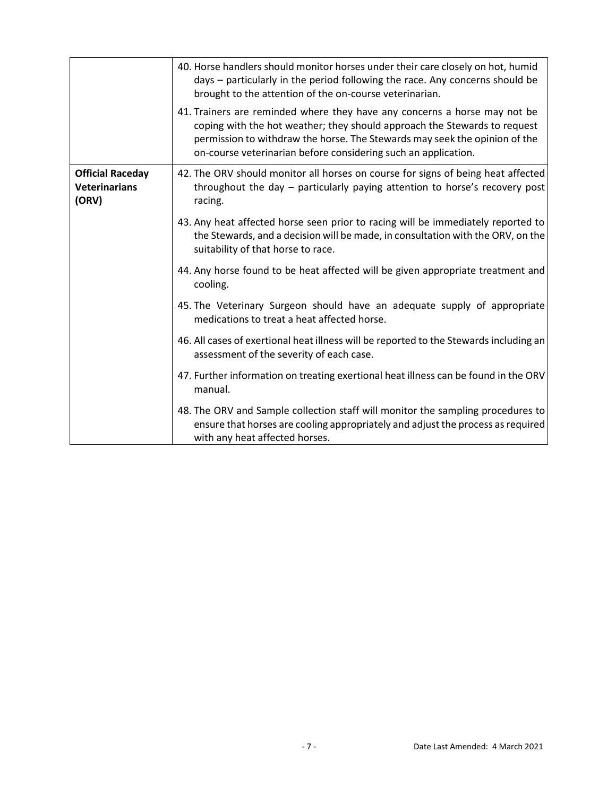|                                                          | 40. Horse handlers should monitor horses under their care closely on hot, humid<br>days - particularly in the period following the race. Any concerns should be<br>brought to the attention of the on-course veterinarian.                                                                             |
|----------------------------------------------------------|--------------------------------------------------------------------------------------------------------------------------------------------------------------------------------------------------------------------------------------------------------------------------------------------------------|
|                                                          | 41. Trainers are reminded where they have any concerns a horse may not be<br>coping with the hot weather; they should approach the Stewards to request<br>permission to withdraw the horse. The Stewards may seek the opinion of the<br>on-course veterinarian before considering such an application. |
| <b>Official Raceday</b><br><b>Veterinarians</b><br>(ORV) | 42. The ORV should monitor all horses on course for signs of being heat affected<br>throughout the day - particularly paying attention to horse's recovery post<br>racing.                                                                                                                             |
|                                                          | 43. Any heat affected horse seen prior to racing will be immediately reported to<br>the Stewards, and a decision will be made, in consultation with the ORV, on the<br>suitability of that horse to race.                                                                                              |
|                                                          | 44. Any horse found to be heat affected will be given appropriate treatment and<br>cooling.                                                                                                                                                                                                            |
|                                                          | 45. The Veterinary Surgeon should have an adequate supply of appropriate<br>medications to treat a heat affected horse.                                                                                                                                                                                |
|                                                          | 46. All cases of exertional heat illness will be reported to the Stewards including an<br>assessment of the severity of each case.                                                                                                                                                                     |
|                                                          | 47. Further information on treating exertional heat illness can be found in the ORV<br>manual.                                                                                                                                                                                                         |
|                                                          | 48. The ORV and Sample collection staff will monitor the sampling procedures to<br>ensure that horses are cooling appropriately and adjust the process as required<br>with any heat affected horses.                                                                                                   |